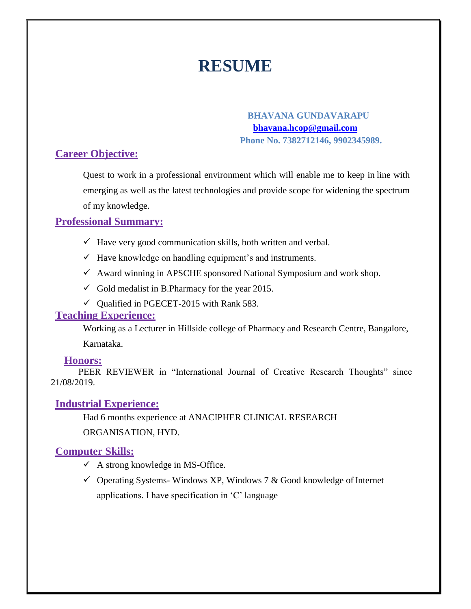# **RESUME**

### **BHAVANA GUNDAVARAPU [bhavana.hcop@gmail.com](mailto:bhavana.hcop@gmail.com) Phone No. 7382712146, 9902345989.**

## **Career Objective:**

Quest to work in a professional environment which will enable me to keep in line with emerging as well as the latest technologies and provide scope for widening the spectrum of my knowledge.

# **Professional Summary:**

- $\checkmark$  Have very good communication skills, both written and verbal.
- $\checkmark$  Have knowledge on handling equipment's and instruments.
- $\checkmark$  Award winning in APSCHE sponsored National Symposium and work shop.
- $\checkmark$  Gold medalist in B. Pharmacy for the year 2015.
- $\checkmark$  Qualified in PGECET-2015 with Rank 583.

### **Teaching Experience:**

Working as a Lecturer in Hillside college of Pharmacy and Research Centre, Bangalore,

Karnataka.

### **Honors:**

PEER REVIEWER in "International Journal of Creative Research Thoughts" since 21/08/2019.

### **Industrial Experience:**

Had 6 months experience at ANACIPHER CLINICAL RESEARCH ORGANISATION, HYD.

### **Computer Skills:**

- $\checkmark$  A strong knowledge in MS-Office.
- $\checkmark$  Operating Systems-Windows XP, Windows 7 & Good knowledge of Internet applications. I have specification in 'C' language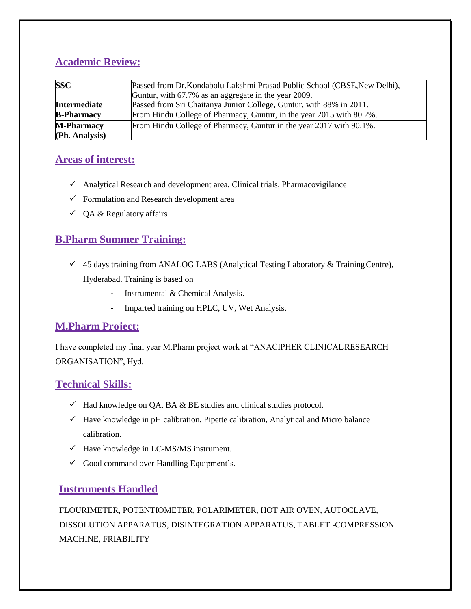# **Academic Review:**

| <b>SSC</b>        | Passed from Dr. Kondabolu Lakshmi Prasad Public School (CBSE, New Delhi),<br>Guntur, with 67.7% as an aggregate in the year 2009. |
|-------------------|-----------------------------------------------------------------------------------------------------------------------------------|
| Intermediate      | Passed from Sri Chaitanya Junior College, Guntur, with 88% in 2011.                                                               |
| <b>B-Pharmacy</b> | From Hindu College of Pharmacy, Guntur, in the year 2015 with 80.2%.                                                              |
| <b>M-Pharmacy</b> | From Hindu College of Pharmacy, Guntur in the year 2017 with 90.1%.                                                               |
| (Ph. Analysis)    |                                                                                                                                   |

# **Areas of interest:**

- $\checkmark$  Analytical Research and development area, Clinical trials, Pharmacovigilance
- $\checkmark$  Formulation and Research development area
- $\checkmark$  QA & Regulatory affairs

# **B.Pharm Summer Training:**

- $\checkmark$  45 days training from ANALOG LABS (Analytical Testing Laboratory & Training Centre), Hyderabad. Training is based on
	- Instrumental & Chemical Analysis.
	- Imparted training on HPLC, UV, Wet Analysis.

# **M.Pharm Project:**

I have completed my final year M.Pharm project work at "ANACIPHER CLINICALRESEARCH ORGANISATION", Hyd.

# **Technical Skills:**

- $\checkmark$  Had knowledge on QA, BA & BE studies and clinical studies protocol.
- $\checkmark$  Have knowledge in pH calibration, Pipette calibration, Analytical and Micro balance calibration.
- $\checkmark$  Have knowledge in LC-MS/MS instrument.
- $\checkmark$  Good command over Handling Equipment's.

### **Instruments Handled**

FLOURIMETER, POTENTIOMETER, POLARIMETER, HOT AIR OVEN, AUTOCLAVE, DISSOLUTION APPARATUS, DISINTEGRATION APPARATUS, TABLET -COMPRESSION MACHINE, FRIABILITY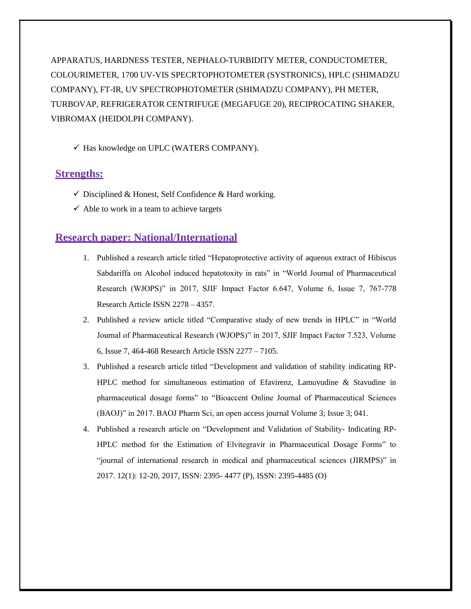APPARATUS, HARDNESS TESTER, NEPHALO-TURBIDITY METER, CONDUCTOMETER, COLOURIMETER, 1700 UV-VIS SPECRTOPHOTOMETER (SYSTRONICS), HPLC (SHIMADZU COMPANY), FT-IR, UV SPECTROPHOTOMETER (SHIMADZU COMPANY), PH METER, TURBOVAP, REFRIGERATOR CENTRIFUGE (MEGAFUGE 20), RECIPROCATING SHAKER, VIBROMAX (HEIDOLPH COMPANY).

✓ Has knowledge on UPLC (WATERS COMPANY).

### **Strengths:**

- $\checkmark$  Disciplined & Honest, Self Confidence & Hard working.
- $\checkmark$  Able to work in a team to achieve targets

#### **Research paper: National/International**

- 1. Published a research article titled "Hepatoprotective activity of aqueous extract of Hibiscus Sabdariffa on Alcohol induced hepatotoxity in rats" in "World Journal of Pharmaceutical Research (WJOPS)" in 2017, SJIF Impact Factor 6.647, Volume 6, Issue 7, 767-778 Research Article ISSN 2278 – 4357.
- 2. Published a review article titled "Comparative study of new trends in HPLC" in "World Journal of Pharmaceutical Research (WJOPS)" in 2017, SJIF Impact Factor 7.523, Volume 6, Issue 7, 464-468 Research Article ISSN 2277 – 7105.
- 3. Published a research article titled "Development and validation of stability indicating RP-HPLC method for simultaneous estimation of Efavirenz, Lamuvudine & Stavudine in pharmaceutical dosage forms" to "Bioaccent Online Journal of Pharmaceutical Sciences (BAOJ)" in 2017. BAOJ Pharm Sci, an open access journal Volume 3; Issue 3; 041.
- 4. Published a research article on "Development and Validation of Stability- Indicating RP-HPLC method for the Estimation of Elvitegravir in Pharmaceutical Dosage Forms" to "journal of international research in medical and pharmaceutical sciences (JIRMPS)" in 2017. 12(1): 12-20, 2017, ISSN: 2395- 4477 (P), ISSN: 2395-4485 (O)